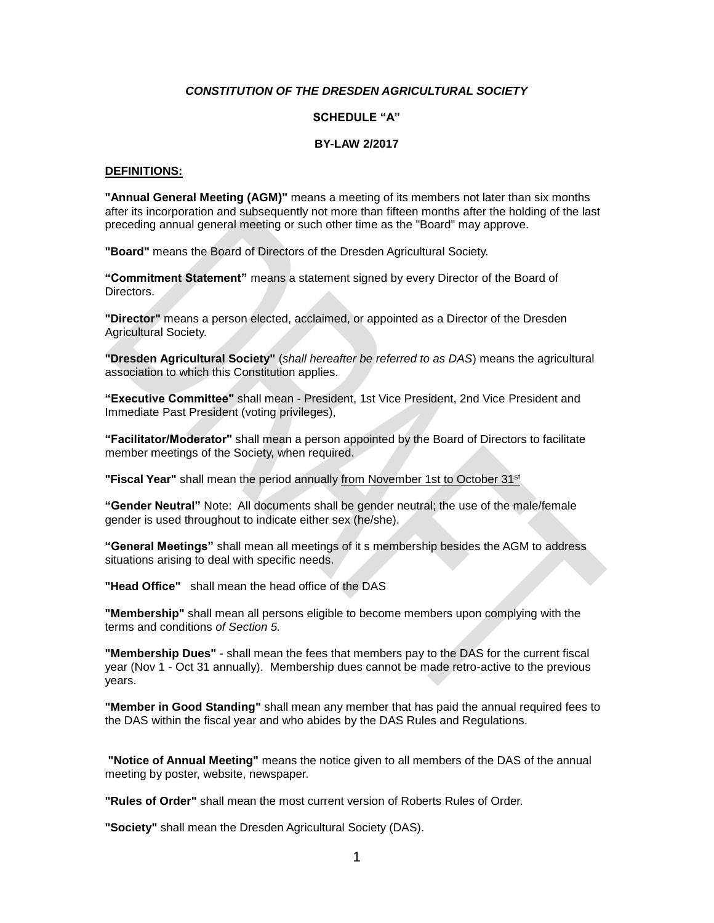#### *CONSTITUTION OF THE DRESDEN AGRICULTURAL SOCIETY*

#### **SCHEDULE "A"**

#### **BY-LAW 2/2017**

#### **DEFINITIONS:**

**"Annual General Meeting (AGM)"** means a meeting of its members not later than six months after its incorporation and subsequently not more than fifteen months after the holding of the last preceding annual general meeting or such other time as the "Board" may approve.

**"Board"** means the Board of Directors of the Dresden Agricultural Society.

**"Commitment Statement"** means a statement signed by every Director of the Board of **Directors** 

**"Director"** means a person elected, acclaimed, or appointed as a Director of the Dresden Agricultural Society.

**"Dresden Agricultural Society"** (*shall hereafter be referred to as DAS*) means the agricultural association to which this Constitution applies.

**"Executive Committee"** shall mean - President, 1st Vice President, 2nd Vice President and Immediate Past President (voting privileges),

**"Facilitator/Moderator"** shall mean a person appointed by the Board of Directors to facilitate member meetings of the Society, when required.

**"Fiscal Year"** shall mean the period annually from November 1st to October 31st

**"Gender Neutral"** Note: All documents shall be gender neutral; the use of the male/female gender is used throughout to indicate either sex (he/she).

**"General Meetings"** shall mean all meetings of it s membership besides the AGM to address situations arising to deal with specific needs.

**"Head Office"** shall mean the head office of the DAS

**"Membership"** shall mean all persons eligible to become members upon complying with the terms and conditions *of Section 5.*

**"Membership Dues"** - shall mean the fees that members pay to the DAS for the current fiscal year (Nov 1 - Oct 31 annually). Membership dues cannot be made retro-active to the previous years.

**"Member in Good Standing"** shall mean any member that has paid the annual required fees to the DAS within the fiscal year and who abides by the DAS Rules and Regulations.

**"Notice of Annual Meeting"** means the notice given to all members of the DAS of the annual meeting by poster, website, newspaper.

**"Rules of Order"** shall mean the most current version of Roberts Rules of Order.

**"Society"** shall mean the Dresden Agricultural Society (DAS).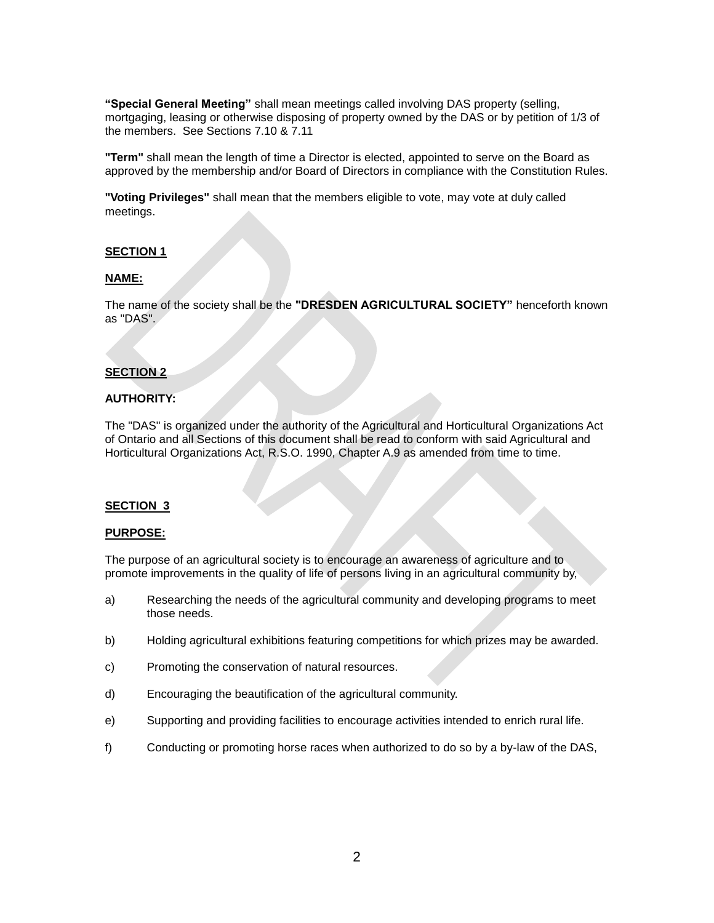**"Special General Meeting"** shall mean meetings called involving DAS property (selling, mortgaging, leasing or otherwise disposing of property owned by the DAS or by petition of 1/3 of the members. See Sections 7.10 & 7.11

**"Term"** shall mean the length of time a Director is elected, appointed to serve on the Board as approved by the membership and/or Board of Directors in compliance with the Constitution Rules.

**"Voting Privileges"** shall mean that the members eligible to vote, may vote at duly called meetings.

#### **SECTION 1**

#### **NAME:**

The name of the society shall be the **"DRESDEN AGRICULTURAL SOCIETY"** henceforth known as "DAS".

#### **SECTION 2**

#### **AUTHORITY:**

The "DAS" is organized under the authority of the Agricultural and Horticultural Organizations Act of Ontario and all Sections of this document shall be read to conform with said Agricultural and Horticultural Organizations Act, R.S.O. 1990, Chapter A.9 as amended from time to time.

## **SECTION 3**

#### **PURPOSE:**

The purpose of an agricultural society is to encourage an awareness of agriculture and to promote improvements in the quality of life of persons living in an agricultural community by,

- a) Researching the needs of the agricultural community and developing programs to meet those needs.
- b) Holding agricultural exhibitions featuring competitions for which prizes may be awarded.
- c) Promoting the conservation of natural resources.
- d) Encouraging the beautification of the agricultural community.
- e) Supporting and providing facilities to encourage activities intended to enrich rural life.
- f) Conducting or promoting horse races when authorized to do so by a by-law of the DAS,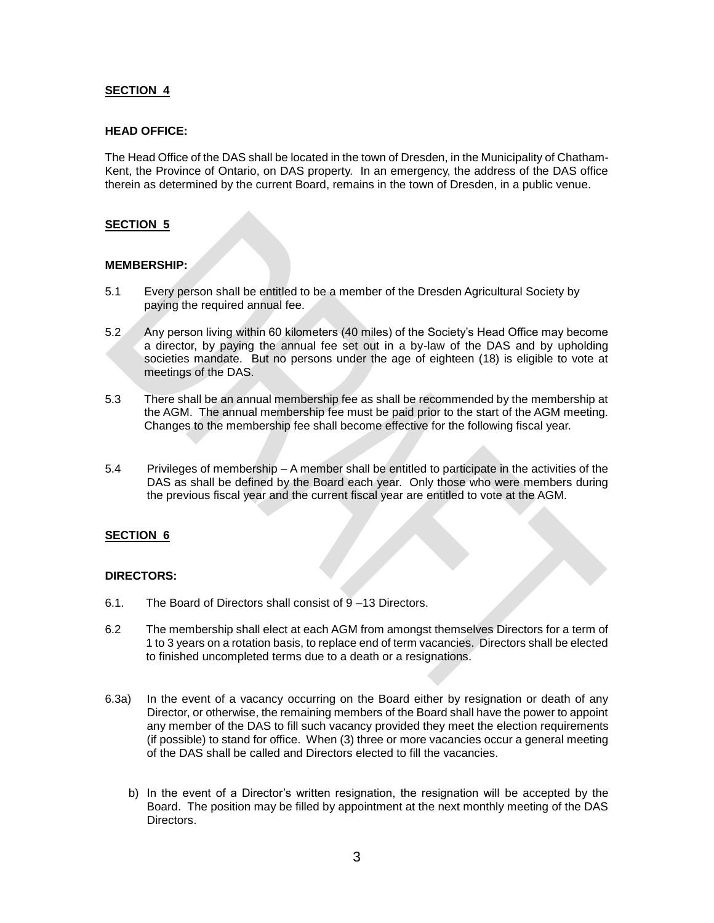# **SECTION 4**

#### **HEAD OFFICE:**

The Head Office of the DAS shall be located in the town of Dresden, in the Municipality of Chatham-Kent, the Province of Ontario, on DAS property. In an emergency, the address of the DAS office therein as determined by the current Board, remains in the town of Dresden, in a public venue.

# **SECTION 5**

### **MEMBERSHIP:**

- 5.1 Every person shall be entitled to be a member of the Dresden Agricultural Society by paying the required annual fee.
- 5.2 Any person living within 60 kilometers (40 miles) of the Society's Head Office may become a director, by paying the annual fee set out in a by-law of the DAS and by upholding societies mandate. But no persons under the age of eighteen (18) is eligible to vote at meetings of the DAS.
- 5.3 There shall be an annual membership fee as shall be recommended by the membership at the AGM. The annual membership fee must be paid prior to the start of the AGM meeting. Changes to the membership fee shall become effective for the following fiscal year.
- 5.4 Privileges of membership A member shall be entitled to participate in the activities of the DAS as shall be defined by the Board each year. Only those who were members during the previous fiscal year and the current fiscal year are entitled to vote at the AGM.

### **SECTION 6**

#### **DIRECTORS:**

- 6.1. The Board of Directors shall consist of  $\overline{9}$  –13 Directors.
- 6.2 The membership shall elect at each AGM from amongst themselves Directors for a term of 1 to 3 years on a rotation basis, to replace end of term vacancies. Directors shall be elected to finished uncompleted terms due to a death or a resignations.
- 6.3a) In the event of a vacancy occurring on the Board either by resignation or death of any Director, or otherwise, the remaining members of the Board shall have the power to appoint any member of the DAS to fill such vacancy provided they meet the election requirements (if possible) to stand for office. When (3) three or more vacancies occur a general meeting of the DAS shall be called and Directors elected to fill the vacancies.
	- b) In the event of a Director's written resignation, the resignation will be accepted by the Board. The position may be filled by appointment at the next monthly meeting of the DAS Directors.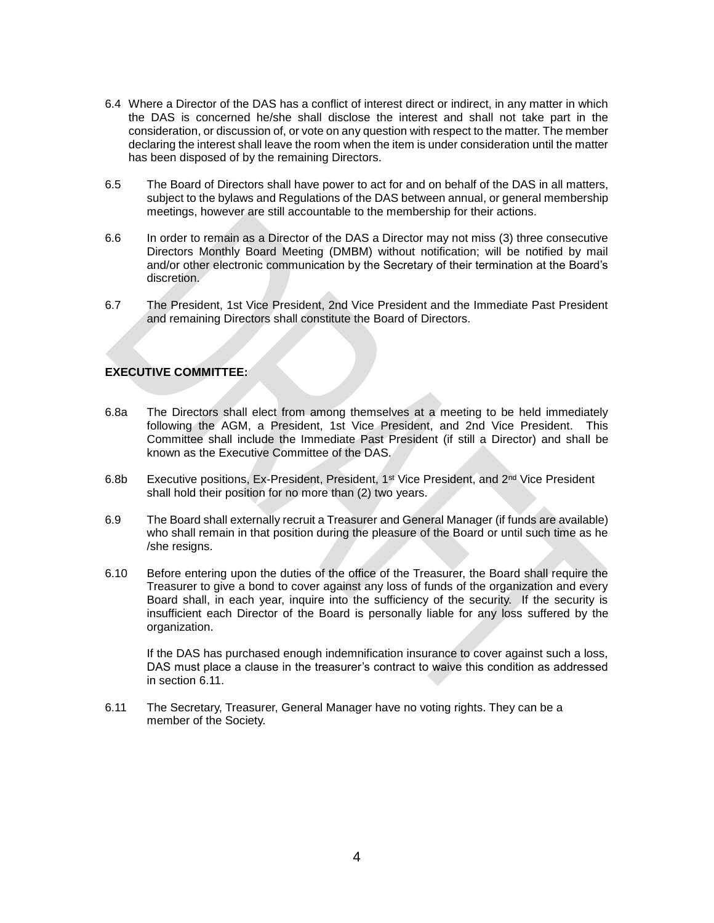- 6.4 Where a Director of the DAS has a conflict of interest direct or indirect, in any matter in which the DAS is concerned he/she shall disclose the interest and shall not take part in the consideration, or discussion of, or vote on any question with respect to the matter. The member declaring the interest shall leave the room when the item is under consideration until the matter has been disposed of by the remaining Directors.
- 6.5 The Board of Directors shall have power to act for and on behalf of the DAS in all matters, subject to the bylaws and Regulations of the DAS between annual, or general membership meetings, however are still accountable to the membership for their actions.
- 6.6 In order to remain as a Director of the DAS a Director may not miss (3) three consecutive Directors Monthly Board Meeting (DMBM) without notification; will be notified by mail and/or other electronic communication by the Secretary of their termination at the Board's discretion.
- 6.7 The President, 1st Vice President, 2nd Vice President and the Immediate Past President and remaining Directors shall constitute the Board of Directors.

# **EXECUTIVE COMMITTEE:**

- 6.8a The Directors shall elect from among themselves at a meeting to be held immediately following the AGM, a President, 1st Vice President, and 2nd Vice President. This Committee shall include the Immediate Past President (if still a Director) and shall be known as the Executive Committee of the DAS.
- 6.8b Executive positions, Ex-President, President, 1st Vice President, and 2nd Vice President shall hold their position for no more than (2) two years.
- 6.9 The Board shall externally recruit a Treasurer and General Manager (if funds are available) who shall remain in that position during the pleasure of the Board or until such time as he /she resigns.
- 6.10 Before entering upon the duties of the office of the Treasurer, the Board shall require the Treasurer to give a bond to cover against any loss of funds of the organization and every Board shall, in each year, inquire into the sufficiency of the security. If the security is insufficient each Director of the Board is personally liable for any loss suffered by the organization.

If the DAS has purchased enough indemnification insurance to cover against such a loss, DAS must place a clause in the treasurer's contract to waive this condition as addressed in section 6.11.

6.11 The Secretary, Treasurer, General Manager have no voting rights. They can be a member of the Society.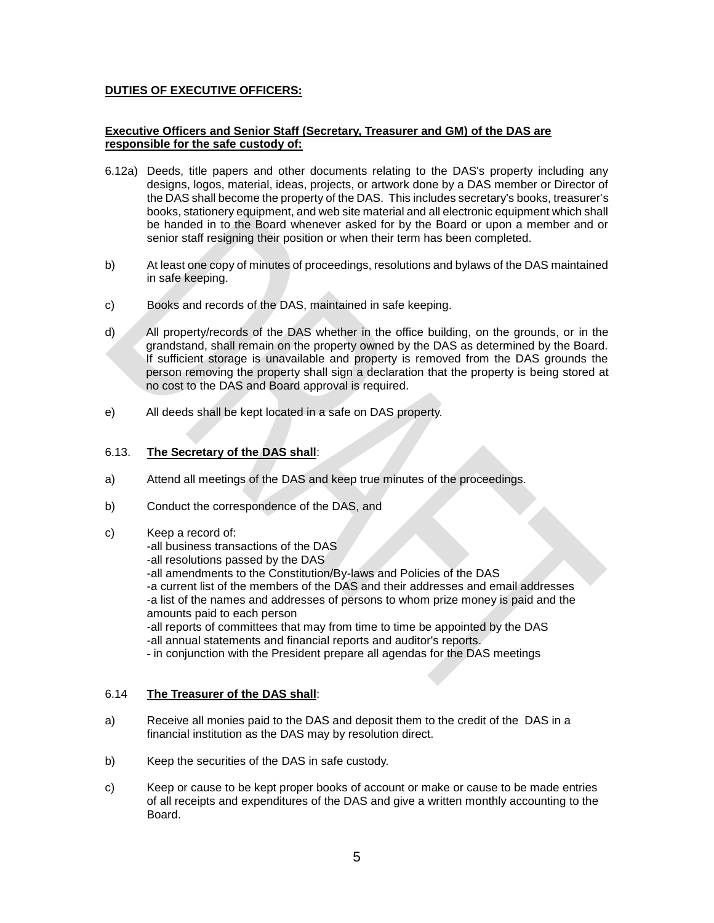# **DUTIES OF EXECUTIVE OFFICERS:**

# **Executive Officers and Senior Staff (Secretary, Treasurer and GM) of the DAS are responsible for the safe custody of:**

- 6.12a) Deeds, title papers and other documents relating to the DAS's property including any designs, logos, material, ideas, projects, or artwork done by a DAS member or Director of the DAS shall become the property of the DAS. This includes secretary's books, treasurer's books, stationery equipment, and web site material and all electronic equipment which shall be handed in to the Board whenever asked for by the Board or upon a member and or senior staff resigning their position or when their term has been completed.
- b) At least one copy of minutes of proceedings, resolutions and bylaws of the DAS maintained in safe keeping.
- c) Books and records of the DAS, maintained in safe keeping.
- d) All property/records of the DAS whether in the office building, on the grounds, or in the grandstand, shall remain on the property owned by the DAS as determined by the Board. If sufficient storage is unavailable and property is removed from the DAS grounds the person removing the property shall sign a declaration that the property is being stored at no cost to the DAS and Board approval is required.
- e) All deeds shall be kept located in a safe on DAS property.

# 6.13. **The Secretary of the DAS shall**:

- a) Attend all meetings of the DAS and keep true minutes of the proceedings.
- b) Conduct the correspondence of the DAS, and
- c) Keep a record of:

-all business transactions of the DAS -all resolutions passed by the DAS -all amendments to the Constitution/By-laws and Policies of the DAS -a current list of the members of the DAS and their addresses and email addresses -a list of the names and addresses of persons to whom prize money is paid and the amounts paid to each person -all reports of committees that may from time to time be appointed by the DAS -all annual statements and financial reports and auditor's reports. - in conjunction with the President prepare all agendas for the DAS meetings

### 6.14 **The Treasurer of the DAS shall**:

- a) Receive all monies paid to the DAS and deposit them to the credit of the DAS in a financial institution as the DAS may by resolution direct.
- b) Keep the securities of the DAS in safe custody.
- c) Keep or cause to be kept proper books of account or make or cause to be made entries of all receipts and expenditures of the DAS and give a written monthly accounting to the Board.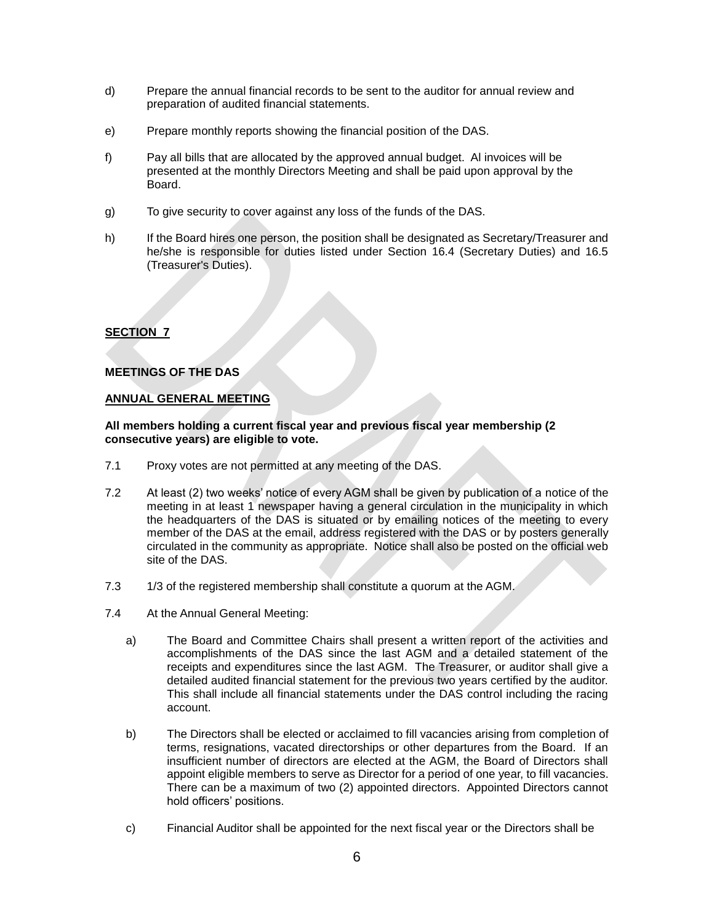- d) Prepare the annual financial records to be sent to the auditor for annual review and preparation of audited financial statements.
- e) Prepare monthly reports showing the financial position of the DAS.
- f) Pay all bills that are allocated by the approved annual budget. Al invoices will be presented at the monthly Directors Meeting and shall be paid upon approval by the Board.
- g) To give security to cover against any loss of the funds of the DAS.
- h) If the Board hires one person, the position shall be designated as Secretary/Treasurer and he/she is responsible for duties listed under Section 16.4 (Secretary Duties) and 16.5 (Treasurer's Duties).

# **SECTION 7**

# **MEETINGS OF THE DAS**

### **ANNUAL GENERAL MEETING**

### **All members holding a current fiscal year and previous fiscal year membership (2 consecutive years) are eligible to vote.**

- 7.1 Proxy votes are not permitted at any meeting of the DAS.
- 7.2 At least (2) two weeks' notice of every AGM shall be given by publication of a notice of the meeting in at least 1 newspaper having a general circulation in the municipality in which the headquarters of the DAS is situated or by emailing notices of the meeting to every member of the DAS at the email, address registered with the DAS or by posters generally circulated in the community as appropriate. Notice shall also be posted on the official web site of the DAS.
- 7.3 1/3 of the registered membership shall constitute a quorum at the AGM.
- 7.4 At the Annual General Meeting:
	- a) The Board and Committee Chairs shall present a written report of the activities and accomplishments of the DAS since the last AGM and a detailed statement of the receipts and expenditures since the last AGM. The Treasurer, or auditor shall give a detailed audited financial statement for the previous two years certified by the auditor. This shall include all financial statements under the DAS control including the racing account.
	- b) The Directors shall be elected or acclaimed to fill vacancies arising from completion of terms, resignations, vacated directorships or other departures from the Board. If an insufficient number of directors are elected at the AGM, the Board of Directors shall appoint eligible members to serve as Director for a period of one year, to fill vacancies. There can be a maximum of two (2) appointed directors. Appointed Directors cannot hold officers' positions.
	- c) Financial Auditor shall be appointed for the next fiscal year or the Directors shall be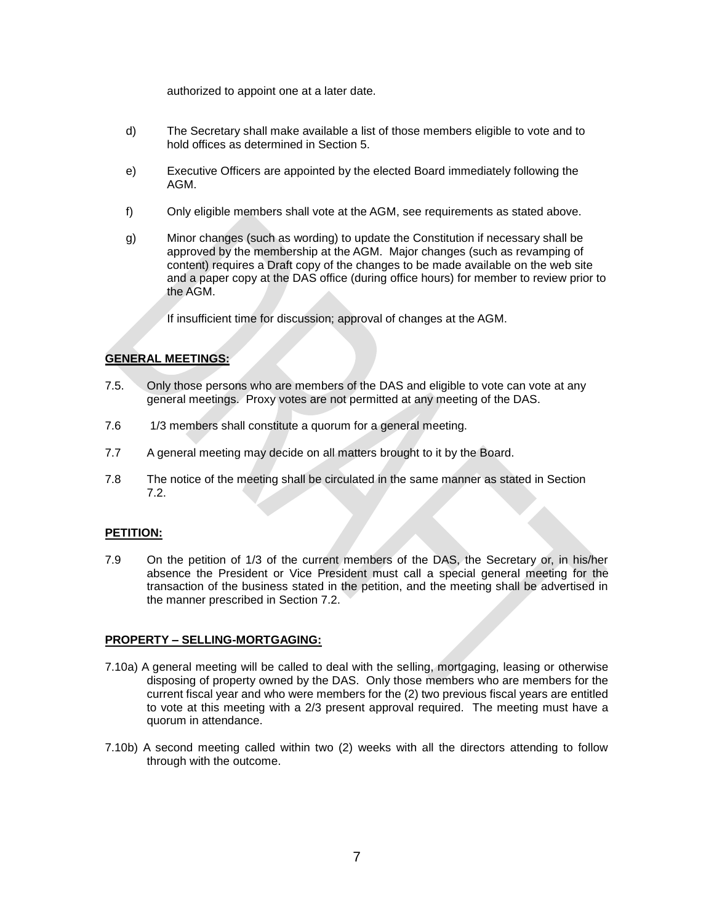authorized to appoint one at a later date.

- d) The Secretary shall make available a list of those members eligible to vote and to hold offices as determined in Section 5.
- e) Executive Officers are appointed by the elected Board immediately following the AGM.
- f) Only eligible members shall vote at the AGM, see requirements as stated above.
- g) Minor changes (such as wording) to update the Constitution if necessary shall be approved by the membership at the AGM. Major changes (such as revamping of content) requires a Draft copy of the changes to be made available on the web site and a paper copy at the DAS office (during office hours) for member to review prior to the AGM.

If insufficient time for discussion; approval of changes at the AGM.

# **GENERAL MEETINGS:**

- 7.5. Only those persons who are members of the DAS and eligible to vote can vote at any general meetings. Proxy votes are not permitted at any meeting of the DAS.
- 7.6 1/3 members shall constitute a quorum for a general meeting.
- 7.7 A general meeting may decide on all matters brought to it by the Board.
- 7.8 The notice of the meeting shall be circulated in the same manner as stated in Section 7.2.

# **PETITION:**

7.9 On the petition of 1/3 of the current members of the DAS, the Secretary or, in his/her absence the President or Vice President must call a special general meeting for the transaction of the business stated in the petition, and the meeting shall be advertised in the manner prescribed in Section 7.2.

# **PROPERTY – SELLING-MORTGAGING:**

- 7.10a) A general meeting will be called to deal with the selling, mortgaging, leasing or otherwise disposing of property owned by the DAS. Only those members who are members for the current fiscal year and who were members for the (2) two previous fiscal years are entitled to vote at this meeting with a 2/3 present approval required. The meeting must have a quorum in attendance.
- 7.10b) A second meeting called within two (2) weeks with all the directors attending to follow through with the outcome.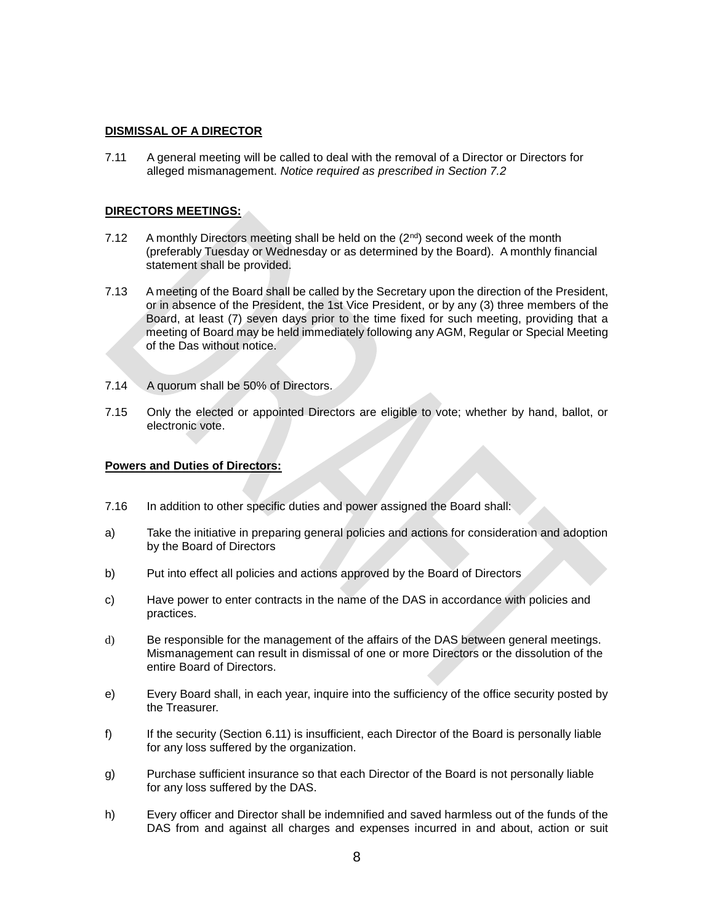## **DISMISSAL OF A DIRECTOR**

7.11 A general meeting will be called to deal with the removal of a Director or Directors for alleged mismanagement. *Notice required as prescribed in Section 7.2*

## **DIRECTORS MEETINGS:**

- 7.12 A monthly Directors meeting shall be held on the  $(2^{nd})$  second week of the month (preferably Tuesday or Wednesday or as determined by the Board). A monthly financial statement shall be provided.
- 7.13 A meeting of the Board shall be called by the Secretary upon the direction of the President, or in absence of the President, the 1st Vice President, or by any (3) three members of the Board, at least (7) seven days prior to the time fixed for such meeting, providing that a meeting of Board may be held immediately following any AGM, Regular or Special Meeting of the Das without notice.
- 7.14 A quorum shall be 50% of Directors.
- 7.15 Only the elected or appointed Directors are eligible to vote; whether by hand, ballot, or electronic vote.

### **Powers and Duties of Directors:**

- 7.16 In addition to other specific duties and power assigned the Board shall:
- a) Take the initiative in preparing general policies and actions for consideration and adoption by the Board of Directors
- b) Put into effect all policies and actions approved by the Board of Directors
- c) Have power to enter contracts in the name of the DAS in accordance with policies and practices.
- d) Be responsible for the management of the affairs of the DAS between general meetings. Mismanagement can result in dismissal of one or more Directors or the dissolution of the entire Board of Directors.
- e) Every Board shall, in each year, inquire into the sufficiency of the office security posted by the Treasurer.
- f) If the security (Section 6.11) is insufficient, each Director of the Board is personally liable for any loss suffered by the organization.
- g) Purchase sufficient insurance so that each Director of the Board is not personally liable for any loss suffered by the DAS.
- h) Every officer and Director shall be indemnified and saved harmless out of the funds of the DAS from and against all charges and expenses incurred in and about, action or suit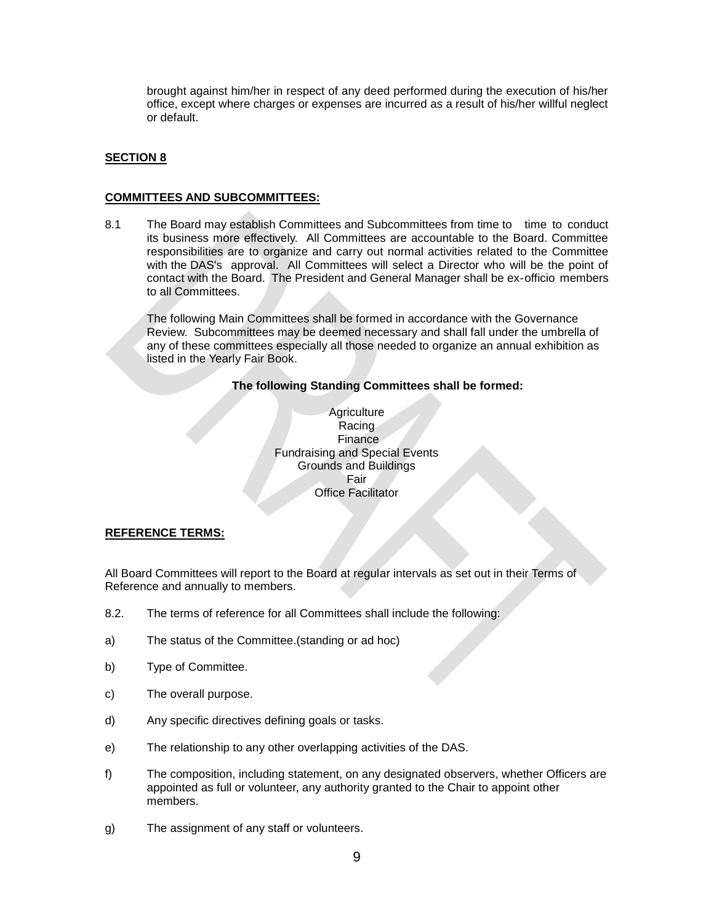brought against him/her in respect of any deed performed during the execution of his/her office, except where charges or expenses are incurred as a result of his/her willful neglect or default.

# **SECTION 8**

#### **COMMITTEES AND SUBCOMMITTEES:**

8.1 The Board may establish Committees and Subcommittees from time to time to conduct its business more effectively. All Committees are accountable to the Board. Committee responsibilities are to organize and carry out normal activities related to the Committee with the DAS's approval. All Committees will select a Director who will be the point of contact with the Board. The President and General Manager shall be ex-officio members to all Committees.

The following Main Committees shall be formed in accordance with the Governance Review. Subcommittees may be deemed necessary and shall fall under the umbrella of any of these committees especially all those needed to organize an annual exhibition as listed in the Yearly Fair Book.

## **The following Standing Committees shall be formed:**

**Agriculture Racing Finance** Fundraising and Special Events Grounds and Buildings Fair Office Facilitator

### **REFERENCE TERMS:**

All Board Committees will report to the Board at regular intervals as set out in their Terms of Reference and annually to members.

- 8.2. The terms of reference for all Committees shall include the following:
- a) The status of the Committee.(standing or ad hoc)
- b) Type of Committee.
- c) The overall purpose.
- d) Any specific directives defining goals or tasks.
- e) The relationship to any other overlapping activities of the DAS.
- f) The composition, including statement, on any designated observers, whether Officers are appointed as full or volunteer, any authority granted to the Chair to appoint other members.
- g) The assignment of any staff or volunteers.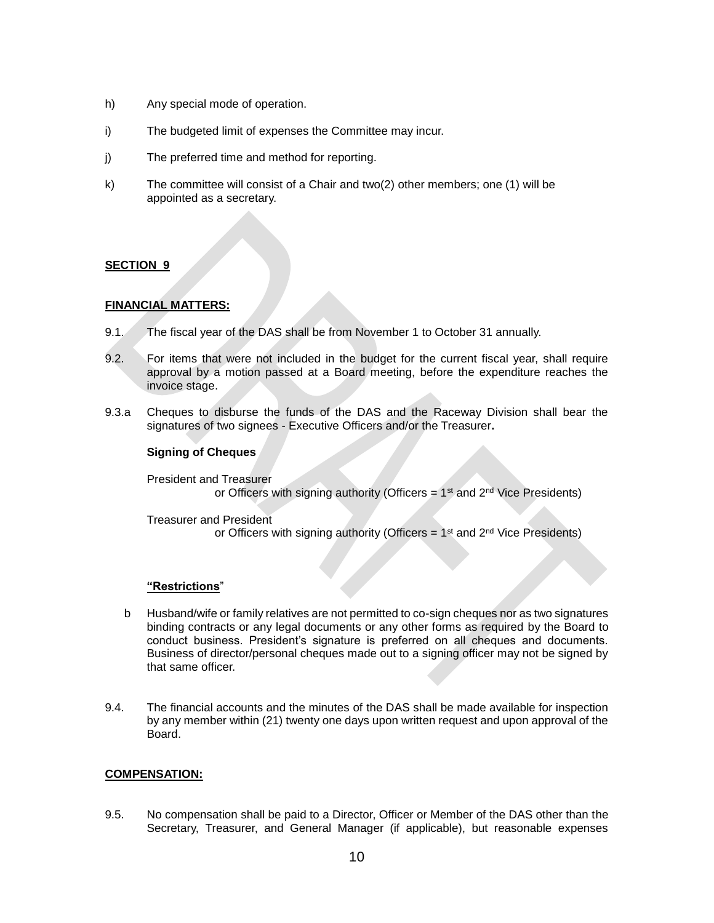- h) Any special mode of operation.
- i) The budgeted limit of expenses the Committee may incur.
- j) The preferred time and method for reporting.
- k) The committee will consist of a Chair and two(2) other members; one (1) will be appointed as a secretary.

# **SECTION 9**

# **FINANCIAL MATTERS:**

- 9.1. The fiscal year of the DAS shall be from November 1 to October 31 annually.
- 9.2. For items that were not included in the budget for the current fiscal year, shall require approval by a motion passed at a Board meeting, before the expenditure reaches the invoice stage.
- 9.3.a Cheques to disburse the funds of the DAS and the Raceway Division shall bear the signatures of two signees - Executive Officers and/or the Treasurer**.**

# **Signing of Cheques**

President and Treasurer or Officers with signing authority (Officers =  $1<sup>st</sup>$  and  $2<sup>nd</sup>$  Vice Presidents)

Treasurer and President or Officers with signing authority (Officers =  $1<sup>st</sup>$  and  $2<sup>nd</sup>$  Vice Presidents)

### **"Restrictions**"

- b Husband/wife or family relatives are not permitted to co-sign cheques nor as two signatures binding contracts or any legal documents or any other forms as required by the Board to conduct business. President's signature is preferred on all cheques and documents. Business of director/personal cheques made out to a signing officer may not be signed by that same officer.
- 9.4. The financial accounts and the minutes of the DAS shall be made available for inspection by any member within (21) twenty one days upon written request and upon approval of the Board.

# **COMPENSATION:**

9.5. No compensation shall be paid to a Director, Officer or Member of the DAS other than the Secretary, Treasurer, and General Manager (if applicable), but reasonable expenses